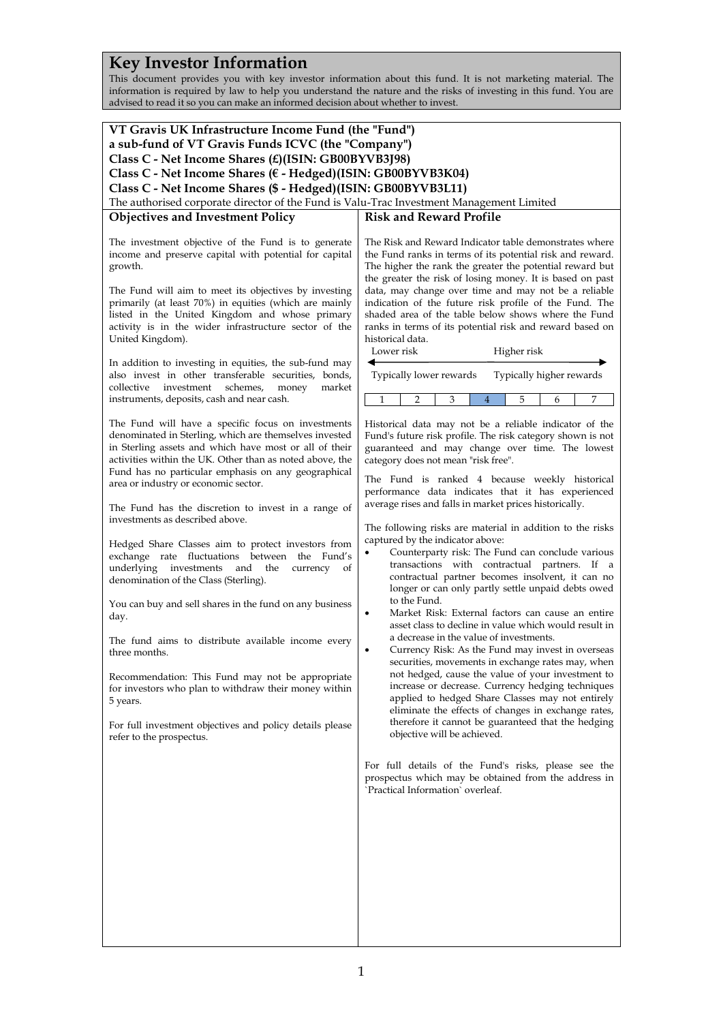# **Key Investor Information**

This document provides you with key investor information about this fund. It is not marketing material. The information is required by law to help you understand the nature and the risks of investing in this fund. You are advised to read it so you can make an informed decision about whether to invest.

| VT Gravis UK Infrastructure Income Fund (the "Fund")                                                           |                                                                                                       |  |
|----------------------------------------------------------------------------------------------------------------|-------------------------------------------------------------------------------------------------------|--|
| a sub-fund of VT Gravis Funds ICVC (the "Company")                                                             |                                                                                                       |  |
| Class C - Net Income Shares (£)(ISIN: GB00BYVB3J98)                                                            |                                                                                                       |  |
| Class C - Net Income Shares (€ - Hedged)(ISIN: GB00BYVB3K04)                                                   |                                                                                                       |  |
| Class C - Net Income Shares (\$ - Hedged)(ISIN: GB00BYVB3L11)                                                  |                                                                                                       |  |
| The authorised corporate director of the Fund is Valu-Trac Investment Management Limited                       |                                                                                                       |  |
| <b>Objectives and Investment Policy</b>                                                                        | <b>Risk and Reward Profile</b>                                                                        |  |
| The investment objective of the Fund is to generate                                                            | The Risk and Reward Indicator table demonstrates where                                                |  |
| income and preserve capital with potential for capital                                                         | the Fund ranks in terms of its potential risk and reward.                                             |  |
| growth.                                                                                                        | The higher the rank the greater the potential reward but                                              |  |
|                                                                                                                | the greater the risk of losing money. It is based on past                                             |  |
| The Fund will aim to meet its objectives by investing                                                          | data, may change over time and may not be a reliable                                                  |  |
| primarily (at least 70%) in equities (which are mainly                                                         | indication of the future risk profile of the Fund. The                                                |  |
| listed in the United Kingdom and whose primary                                                                 | shaded area of the table below shows where the Fund                                                   |  |
| activity is in the wider infrastructure sector of the                                                          | ranks in terms of its potential risk and reward based on                                              |  |
| United Kingdom).                                                                                               | historical data.                                                                                      |  |
|                                                                                                                | Lower risk<br>Higher risk                                                                             |  |
| In addition to investing in equities, the sub-fund may<br>also invest in other transferable securities, bonds, | Typically lower rewards<br>Typically higher rewards                                                   |  |
| investment<br>collective<br>schemes,<br>market<br>money                                                        |                                                                                                       |  |
| instruments, deposits, cash and near cash.                                                                     | 5<br>7<br>1<br>6<br>2<br>3<br>4                                                                       |  |
| The Fund will have a specific focus on investments                                                             | Historical data may not be a reliable indicator of the                                                |  |
| denominated in Sterling, which are themselves invested                                                         | Fund's future risk profile. The risk category shown is not                                            |  |
| in Sterling assets and which have most or all of their                                                         | guaranteed and may change over time. The lowest                                                       |  |
| activities within the UK. Other than as noted above, the                                                       | category does not mean "risk free".                                                                   |  |
| Fund has no particular emphasis on any geographical                                                            |                                                                                                       |  |
| area or industry or economic sector.                                                                           | The Fund is ranked 4 because weekly historical                                                        |  |
|                                                                                                                | performance data indicates that it has experienced                                                    |  |
| The Fund has the discretion to invest in a range of                                                            | average rises and falls in market prices historically.                                                |  |
| investments as described above.                                                                                | The following risks are material in addition to the risks                                             |  |
|                                                                                                                | captured by the indicator above:                                                                      |  |
| Hedged Share Classes aim to protect investors from<br>exchange rate fluctuations between the Fund's            | Counterparty risk: The Fund can conclude various<br>$\bullet$                                         |  |
| underlying investments and the<br>currency<br>οf                                                               | transactions with contractual partners. If a                                                          |  |
| denomination of the Class (Sterling).                                                                          | contractual partner becomes insolvent, it can no                                                      |  |
|                                                                                                                | longer or can only partly settle unpaid debts owed                                                    |  |
| You can buy and sell shares in the fund on any business                                                        | to the Fund.                                                                                          |  |
| day.                                                                                                           | Market Risk: External factors can cause an entire<br>٠                                                |  |
|                                                                                                                | asset class to decline in value which would result in                                                 |  |
| The fund aims to distribute available income every                                                             | a decrease in the value of investments.                                                               |  |
| three months.                                                                                                  | Currency Risk: As the Fund may invest in overseas<br>٠                                                |  |
|                                                                                                                | securities, movements in exchange rates may, when                                                     |  |
| Recommendation: This Fund may not be appropriate                                                               | not hedged, cause the value of your investment to                                                     |  |
| for investors who plan to withdraw their money within                                                          | increase or decrease. Currency hedging techniques<br>applied to hedged Share Classes may not entirely |  |
| 5 years.                                                                                                       | eliminate the effects of changes in exchange rates,                                                   |  |
| For full investment objectives and policy details please                                                       | therefore it cannot be guaranteed that the hedging                                                    |  |
| refer to the prospectus.                                                                                       | objective will be achieved.                                                                           |  |
|                                                                                                                |                                                                                                       |  |
|                                                                                                                |                                                                                                       |  |
|                                                                                                                | For full details of the Fund's risks, please see the                                                  |  |
|                                                                                                                | prospectus which may be obtained from the address in<br>`Practical Information` overleaf.             |  |
|                                                                                                                |                                                                                                       |  |
|                                                                                                                |                                                                                                       |  |
|                                                                                                                |                                                                                                       |  |
|                                                                                                                |                                                                                                       |  |
|                                                                                                                |                                                                                                       |  |
|                                                                                                                |                                                                                                       |  |
|                                                                                                                |                                                                                                       |  |
|                                                                                                                |                                                                                                       |  |
|                                                                                                                |                                                                                                       |  |
|                                                                                                                |                                                                                                       |  |
|                                                                                                                |                                                                                                       |  |
|                                                                                                                |                                                                                                       |  |